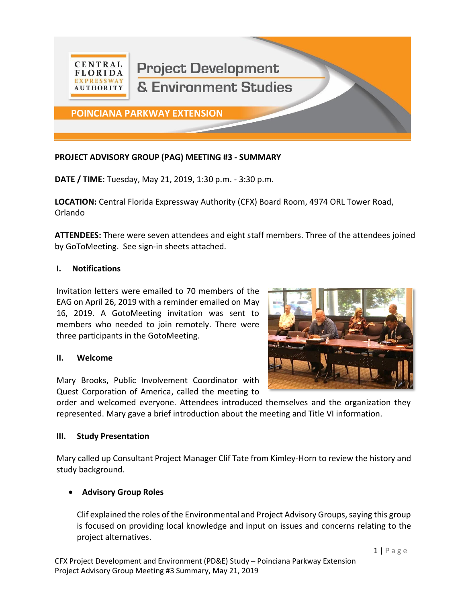

# **PROJECT ADVISORY GROUP (PAG) MEETING #3 - SUMMARY**

**DATE / TIME:** Tuesday, May 21, 2019, 1:30 p.m. - 3:30 p.m.

**LOCATION:** Central Florida Expressway Authority (CFX) Board Room, 4974 ORL Tower Road, Orlando

**ATTENDEES:** There were seven attendees and eight staff members. Three of the attendees joined by GoToMeeting. See sign-in sheets attached.

### **I. Notifications**

Invitation letters were emailed to 70 members of the EAG on April 26, 2019 with a reminder emailed on May 16, 2019. A GotoMeeting invitation was sent to members who needed to join remotely. There were three participants in the GotoMeeting.

#### **II. Welcome**

Mary Brooks, Public Involvement Coordinator with Quest Corporation of America, called the meeting to



order and welcomed everyone. Attendees introduced themselves and the organization they represented. Mary gave a brief introduction about the meeting and Title VI information.

#### **III. Study Presentation**

Mary called up Consultant Project Manager Clif Tate from Kimley-Horn to review the history and study background.

## • **Advisory Group Roles**

Clif explained the roles of the Environmental and Project Advisory Groups, saying this group is focused on providing local knowledge and input on issues and concerns relating to the project alternatives.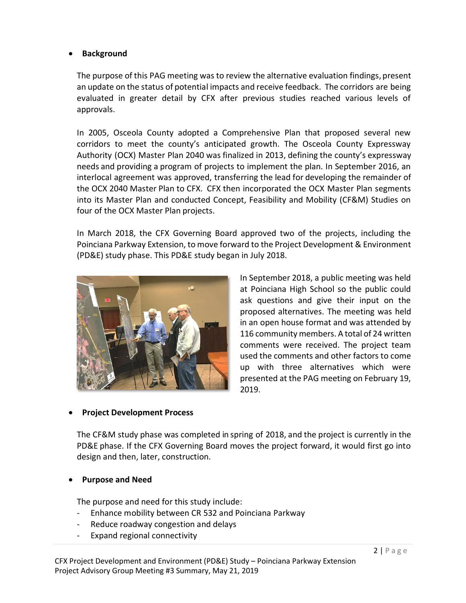#### • **Background**

The purpose of this PAG meeting was to review the alternative evaluation findings, present an update on the status of potential impacts and receive feedback. The corridors are being evaluated in greater detail by CFX after previous studies reached various levels of approvals.

In 2005, Osceola County adopted a Comprehensive Plan that proposed several new corridors to meet the county's anticipated growth. The Osceola County Expressway Authority (OCX) Master Plan 2040 was finalized in 2013, defining the county's expressway needs and providing a program of projects to implement the plan. In September 2016, an interlocal agreement was approved, transferring the lead for developing the remainder of the OCX 2040 Master Plan to CFX. CFX then incorporated the OCX Master Plan segments into its Master Plan and conducted Concept, Feasibility and Mobility (CF&M) Studies on four of the OCX Master Plan projects.

In March 2018, the CFX Governing Board approved two of the projects, including the Poinciana Parkway Extension, to move forward to the Project Development & Environment (PD&E) study phase. This PD&E study began in July 2018.



In September 2018, a public meeting was held at Poinciana High School so the public could ask questions and give their input on the proposed alternatives. The meeting was held in an open house format and was attended by 116 community members. A total of 24 written comments were received. The project team used the comments and other factors to come up with three alternatives which were presented at the PAG meeting on February 19, 2019.

## • **Project Development Process**

The CF&M study phase was completed in spring of 2018, and the project is currently in the PD&E phase. If the CFX Governing Board moves the project forward, it would first go into design and then, later, construction.

## • **Purpose and Need**

The purpose and need for this study include:

- Enhance mobility between CR 532 and Poinciana Parkway
- Reduce roadway congestion and delays
- Expand regional connectivity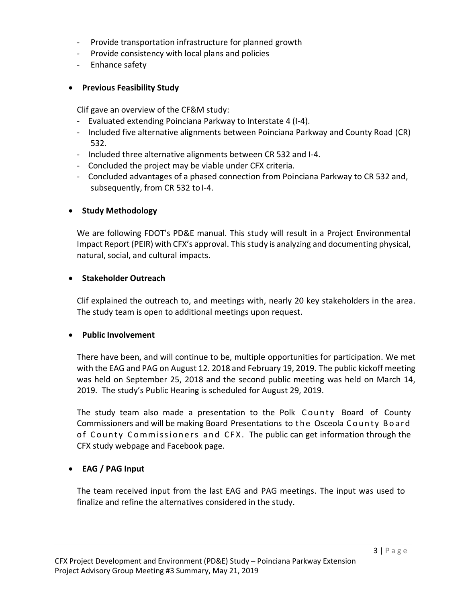- Provide transportation infrastructure for planned growth
- Provide consistency with local plans and policies
- Enhance safety

### • **Previous Feasibility Study**

Clif gave an overview of the CF&M study:

- Evaluated extending Poinciana Parkway to Interstate 4 (I-4).
- Included five alternative alignments between Poinciana Parkway and County Road (CR) 532.
- Included three alternative alignments between CR 532 and I-4.
- Concluded the project may be viable under CFX criteria.
- Concluded advantages of a phased connection from Poinciana Parkway to CR 532 and, subsequently, from CR 532 to I-4.

### • **Study Methodology**

We are following FDOT's PD&E manual. This study will result in a Project Environmental Impact Report (PEIR) with CFX's approval. Thisstudy is analyzing and documenting physical, natural, social, and cultural impacts.

#### • **Stakeholder Outreach**

Clif explained the outreach to, and meetings with, nearly 20 key stakeholders in the area. The study team is open to additional meetings upon request.

#### • **Public Involvement**

There have been, and will continue to be, multiple opportunities for participation. We met with the EAG and PAG on August 12. 2018 and February 19, 2019. The public kickoff meeting was held on September 25, 2018 and the second public meeting was held on March 14, 2019. The study's Public Hearing is scheduled for August 29, 2019.

The study team also made a presentation to the Polk County Board of County Commissioners and will be making Board Presentations to the Osceola County Board of County Commissioners and CFX. The public can get information through the CFX study webpage and Facebook page.

## • **EAG / PAG Input**

The team received input from the last EAG and PAG meetings. The input was used to finalize and refine the alternatives considered in the study.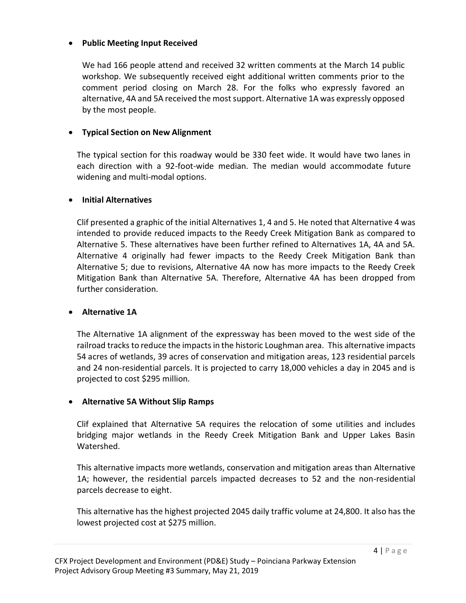#### • **Public Meeting Input Received**

We had 166 people attend and received 32 written comments at the March 14 public workshop. We subsequently received eight additional written comments prior to the comment period closing on March 28. For the folks who expressly favored an alternative, 4A and 5A received the most support. Alternative 1A was expressly opposed by the most people.

# • **Typical Section on New Alignment**

The typical section for this roadway would be 330 feet wide. It would have two lanes in each direction with a 92-foot-wide median. The median would accommodate future widening and multi-modal options.

### • **Initial Alternatives**

Clif presented a graphic of the initial Alternatives 1, 4 and 5. He noted that Alternative 4 was intended to provide reduced impacts to the Reedy Creek Mitigation Bank as compared to Alternative 5. These alternatives have been further refined to Alternatives 1A, 4A and 5A. Alternative 4 originally had fewer impacts to the Reedy Creek Mitigation Bank than Alternative 5; due to revisions, Alternative 4A now has more impacts to the Reedy Creek Mitigation Bank than Alternative 5A. Therefore, Alternative 4A has been dropped from further consideration.

## • **Alternative 1A**

The Alternative 1A alignment of the expressway has been moved to the west side of the railroad tracks to reduce the impacts in the historic Loughman area. This alternative impacts 54 acres of wetlands, 39 acres of conservation and mitigation areas, 123 residential parcels and 24 non-residential parcels. It is projected to carry 18,000 vehicles a day in 2045 and is projected to cost \$295 million.

## • **Alternative 5A Without Slip Ramps**

Clif explained that Alternative 5A requires the relocation of some utilities and includes bridging major wetlands in the Reedy Creek Mitigation Bank and Upper Lakes Basin Watershed.

This alternative impacts more wetlands, conservation and mitigation areas than Alternative 1A; however, the residential parcels impacted decreases to 52 and the non-residential parcels decrease to eight.

This alternative has the highest projected 2045 daily traffic volume at 24,800. It also has the lowest projected cost at \$275 million.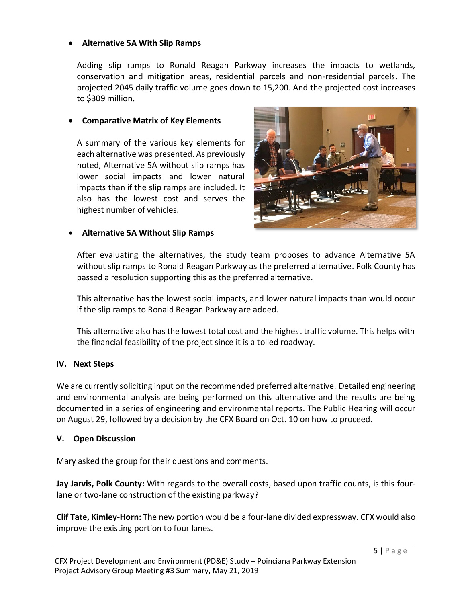#### • **Alternative 5A With Slip Ramps**

Adding slip ramps to Ronald Reagan Parkway increases the impacts to wetlands, conservation and mitigation areas, residential parcels and non-residential parcels. The projected 2045 daily traffic volume goes down to 15,200. And the projected cost increases to \$309 million.

### • **Comparative Matrix of Key Elements**

A summary of the various key elements for each alternative was presented. As previously noted, Alternative 5A without slip ramps has lower social impacts and lower natural impacts than if the slip ramps are included. It also has the lowest cost and serves the highest number of vehicles.



### • **Alternative 5A Without Slip Ramps**

After evaluating the alternatives, the study team proposes to advance Alternative 5A without slip ramps to Ronald Reagan Parkway as the preferred alternative. Polk County has passed a resolution supporting this as the preferred alternative.

This alternative has the lowest social impacts, and lower natural impacts than would occur if the slip ramps to Ronald Reagan Parkway are added.

This alternative also has the lowest total cost and the highest traffic volume. This helps with the financial feasibility of the project since it is a tolled roadway.

## **IV. Next Steps**

We are currently soliciting input on the recommended preferred alternative. Detailed engineering and environmental analysis are being performed on this alternative and the results are being documented in a series of engineering and environmental reports. The Public Hearing will occur on August 29, followed by a decision by the CFX Board on Oct. 10 on how to proceed.

## **V. Open Discussion**

Mary asked the group for their questions and comments.

**Jay Jarvis, Polk County:** With regards to the overall costs, based upon traffic counts, is this fourlane or two-lane construction of the existing parkway?

**Clif Tate, Kimley-Horn:** The new portion would be a four-lane divided expressway. CFX would also improve the existing portion to four lanes.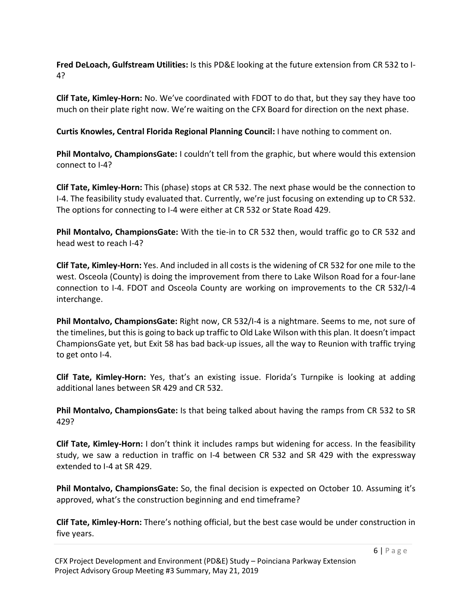**Fred DeLoach, Gulfstream Utilities:** Is this PD&E looking at the future extension from CR 532 to I-4?

**Clif Tate, Kimley-Horn:** No. We've coordinated with FDOT to do that, but they say they have too much on their plate right now. We're waiting on the CFX Board for direction on the next phase.

**Curtis Knowles, Central Florida Regional Planning Council:** I have nothing to comment on.

**Phil Montalvo, ChampionsGate:** I couldn't tell from the graphic, but where would this extension connect to I-4?

**Clif Tate, Kimley-Horn:** This (phase) stops at CR 532. The next phase would be the connection to I-4. The feasibility study evaluated that. Currently, we're just focusing on extending up to CR 532. The options for connecting to I-4 were either at CR 532 or State Road 429.

**Phil Montalvo, ChampionsGate:** With the tie-in to CR 532 then, would traffic go to CR 532 and head west to reach I-4?

**Clif Tate, Kimley-Horn:** Yes. And included in all costs is the widening of CR 532 for one mile to the west. Osceola (County) is doing the improvement from there to Lake Wilson Road for a four-lane connection to I-4. FDOT and Osceola County are working on improvements to the CR 532/I-4 interchange.

**Phil Montalvo, ChampionsGate:** Right now, CR 532/I-4 is a nightmare. Seems to me, not sure of the timelines, but this is going to back up traffic to Old Lake Wilson with this plan. It doesn't impact ChampionsGate yet, but Exit 58 has bad back-up issues, all the way to Reunion with traffic trying to get onto I-4.

**Clif Tate, Kimley-Horn:** Yes, that's an existing issue. Florida's Turnpike is looking at adding additional lanes between SR 429 and CR 532.

**Phil Montalvo, ChampionsGate:** Is that being talked about having the ramps from CR 532 to SR 429?

**Clif Tate, Kimley-Horn:** I don't think it includes ramps but widening for access. In the feasibility study, we saw a reduction in traffic on I-4 between CR 532 and SR 429 with the expressway extended to I-4 at SR 429.

**Phil Montalvo, ChampionsGate:** So, the final decision is expected on October 10. Assuming it's approved, what's the construction beginning and end timeframe?

**Clif Tate, Kimley-Horn:** There's nothing official, but the best case would be under construction in five years.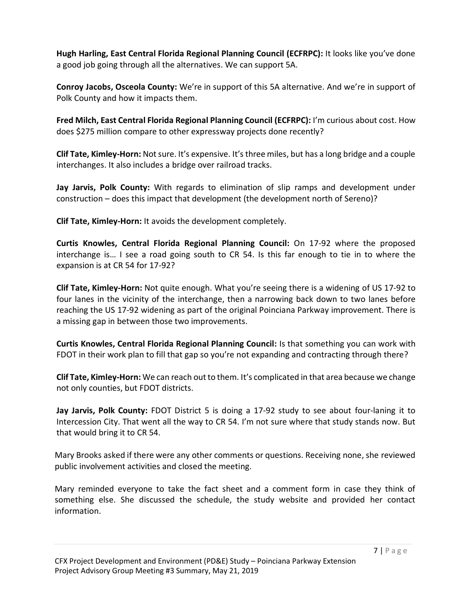**Hugh Harling, East Central Florida Regional Planning Council (ECFRPC):** It looks like you've done a good job going through all the alternatives. We can support 5A.

**Conroy Jacobs, Osceola County:** We're in support of this 5A alternative. And we're in support of Polk County and how it impacts them.

**Fred Milch, East Central Florida Regional Planning Council (ECFRPC):** I'm curious about cost. How does \$275 million compare to other expressway projects done recently?

**Clif Tate, Kimley-Horn:** Not sure. It's expensive. It's three miles, but has a long bridge and a couple interchanges. It also includes a bridge over railroad tracks.

**Jay Jarvis, Polk County:** With regards to elimination of slip ramps and development under construction – does this impact that development (the development north of Sereno)?

**Clif Tate, Kimley-Horn:** It avoids the development completely.

**Curtis Knowles, Central Florida Regional Planning Council:** On 17-92 where the proposed interchange is… I see a road going south to CR 54. Is this far enough to tie in to where the expansion is at CR 54 for 17-92?

**Clif Tate, Kimley-Horn:** Not quite enough. What you're seeing there is a widening of US 17-92 to four lanes in the vicinity of the interchange, then a narrowing back down to two lanes before reaching the US 17-92 widening as part of the original Poinciana Parkway improvement. There is a missing gap in between those two improvements.

**Curtis Knowles, Central Florida Regional Planning Council:** Is that something you can work with FDOT in their work plan to fill that gap so you're not expanding and contracting through there?

**Clif Tate, Kimley-Horn:** We can reach out to them. It's complicated in that area because we change not only counties, but FDOT districts.

**Jay Jarvis, Polk County:** FDOT District 5 is doing a 17-92 study to see about four-laning it to Intercession City. That went all the way to CR 54. I'm not sure where that study stands now. But that would bring it to CR 54.

Mary Brooks asked if there were any other comments or questions. Receiving none, she reviewed public involvement activities and closed the meeting.

Mary reminded everyone to take the fact sheet and a comment form in case they think of something else. She discussed the schedule, the study website and provided her contact information.